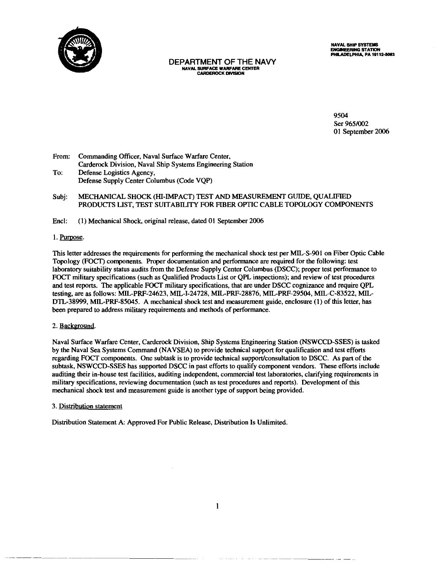

**DEPARTMENT OF THE NAVY** NAVAL SURFACE WARFARE CENTER **CARDEROCK DIVISION** 

**NAVAL SHIP SYSTEMS** ENGINEERING STATION<br>PHILADELPHIA, PA 19112-5083

9504 Ser 965/002 01 September 2006

- Commanding Officer, Naval Surface Warfare Center, From: Carderock Division, Naval Ship Systems Engineering Station To: Defense Logistics Agency, Defense Supply Center Columbus (Code VQP)
- MECHANICAL SHOCK (HI-IMPACT) TEST AND MEASUREMENT GUIDE, QUALIFIED Subj: PRODUCTS LIST, TEST SUITABILITY FOR FIBER OPTIC CABLE TOPOLOGY COMPONENTS

Encl: (1) Mechanical Shock, original release, dated 01 September 2006

#### 1. Purpose.

This letter addresses the requirements for performing the mechanical shock test per MIL-S-901 on Fiber Optic Cable Topology (FOCT) components. Proper documentation and performance are required for the following: test laboratory suitability status audits from the Defense Supply Center Columbus (DSCC); proper test performance to FOCT military specifications (such as Qualified Products List or QPL inspections); and review of test procedures and test reports. The applicable FOCT military specifications, that are under DSCC cognizance and require QPL testing, are as follows: MIL-PRF-24623, MIL-I-24728, MIL-PRF-28876, MIL-PRF-29504, MIL-C-83522, MIL-DTL-38999, MIL-PRF-85045. A mechanical shock test and measurement guide, enclosure (1) of this letter, has been prepared to address military requirements and methods of performance.

#### 2. Background.

Naval Surface Warfare Center, Carderock Division, Ship Systems Engineering Station (NSWCCD-SSES) is tasked by the Naval Sea Systems Command (NAVSEA) to provide technical support for qualification and test efforts regarding FOCT components. One subtask is to provide technical support/consultation to DSCC. As part of the subtask, NSWCCD-SSES has supported DSCC in past efforts to qualify component vendors. These efforts include auditing their in-house test facilities, auditing independent, commercial test laboratories, clarifying requirements in military specifications, reviewing documentation (such as test procedures and reports). Development of this mechanical shock test and measurement guide is another type of support being provided.

#### 3. Distribution statement

Distribution Statement A: Approved For Public Release, Distribution Is Unlimited.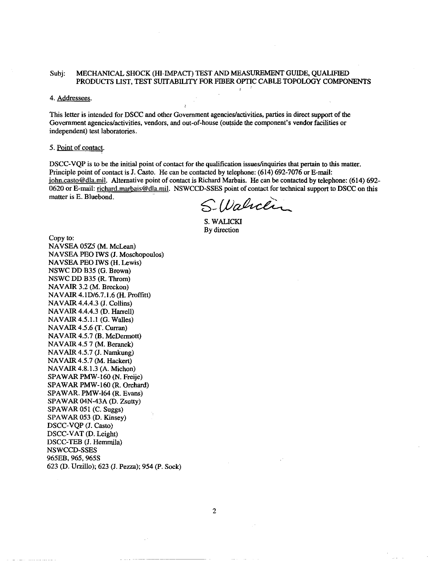#### MECHANICAL SHOCK (HI-IMPACT) TEST AND MEASUREMENT GUIDE, QUALIFIED Subi: PRODUCTS LIST, TEST SUITABILITY FOR FIBER OPTIC CABLE TOPOLOGY COMPONENTS

#### 4. Addressees.

This letter is intended for DSCC and other Government agencies/activities, parties in direct support of the Government agencies/activities, vendors, and out-of-house (outside the component's vendor facilities or independent) test laboratories.

#### 5. Point of contact.

DSCC-VQP is to be the initial point of contact for the qualification issues/inquiries that pertain to this matter. Principle point of contact is J. Casto. He can be contacted by telephone: (614) 692-7076 or E-mail: john.casto@dla.mil. Alternative point of contact is Richard Marbais. He can be contacted by telephone: (614) 692-0620 or E-mail: richard.marbais@dla.mil. NSWCCD-SSES point of contact for technical support to DSCC on this matter is E. Bluebond.

S. Walneen

S. WALICKI By direction

Copy to: NAVSEA 05Z5 (M. McLean) NAVSEA PEO IWS (J. Moschopoulos) NAVSEA PEO IWS (H. Lewis) NSWC DD B35 (G. Brown) NSWC DD B35 (R. Throm) NAVAIR 3.2 (M. Breckon) NAVAIR 4.1D/6.7.1.6 (H. Proffitt) NAVAIR 4.4.4.3 (J. Collins) NAVAIR 4.4.4.3 (D. Harrell) NAVAIR 4.5.1.1 (G. Walles) NAVAIR 4.5.6 (T. Curran) NAVAIR 4.5.7 (B. McDermott) NAVAIR 4.5 7 (M. Beranek) NAVAIR 4.5.7 (J. Namkung) NAVAIR 4.5.7 (M. Hackert) NAVAIR 4.8.1.3 (A. Michon) SPAWAR PMW-160 (N. Freije) SPAWAR PMW-160 (R. Orchard) SPAWAR. PMW-164 (R. Evans) SPAWAR 04N-43A (D. Zsutty) SPAWAR 051 (C. Suggs) SPAWAR 053 (D. Kinsey) DSCC-VQP (J. Casto) DSCC-VAT (D. Leight) DSCC-TEB (J. Hemmila) NSWCCD-SSES 965EB, 965, 965S 623 (D. Urzillo); 623 (J. Pezza); 954 (P. Sock)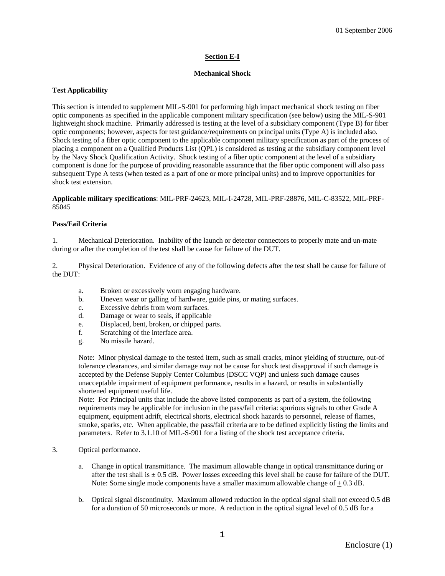### **Section E-I**

### **Mechanical Shock**

### **Test Applicability**

This section is intended to supplement MIL-S-901 for performing high impact mechanical shock testing on fiber optic components as specified in the applicable component military specification (see below) using the MIL-S-901 lightweight shock machine. Primarily addressed is testing at the level of a subsidiary component (Type B) for fiber optic components; however, aspects for test guidance/requirements on principal units (Type A) is included also. Shock testing of a fiber optic component to the applicable component military specification as part of the process of placing a component on a Qualified Products List (QPL) is considered as testing at the subsidiary component level by the Navy Shock Qualification Activity. Shock testing of a fiber optic component at the level of a subsidiary component is done for the purpose of providing reasonable assurance that the fiber optic component will also pass subsequent Type A tests (when tested as a part of one or more principal units) and to improve opportunities for shock test extension.

**Applicable military specifications**: MIL-PRF-24623, MIL-I-24728, MIL-PRF-28876, MIL-C-83522, MIL-PRF-85045

### **Pass/Fail Criteria**

1. Mechanical Deterioration. Inability of the launch or detector connectors to properly mate and un-mate during or after the completion of the test shall be cause for failure of the DUT.

2. Physical Deterioration. Evidence of any of the following defects after the test shall be cause for failure of the DUT:

- a. Broken or excessively worn engaging hardware.
- b. Uneven wear or galling of hardware, guide pins, or mating surfaces.
- c. Excessive debris from worn surfaces.
- d. Damage or wear to seals, if applicable
- e. Displaced, bent, broken, or chipped parts.
- f. Scratching of the interface area.
- g. No missile hazard.

Note: Minor physical damage to the tested item, such as small cracks, minor yielding of structure, out-of tolerance clearances, and similar damage *may* not be cause for shock test disapproval if such damage is accepted by the Defense Supply Center Columbus (DSCC VQP) and unless such damage causes unacceptable impairment of equipment performance, results in a hazard, or results in substantially shortened equipment useful life.

Note: For Principal units that include the above listed components as part of a system, the following requirements may be applicable for inclusion in the pass/fail criteria: spurious signals to other Grade A equipment, equipment adrift, electrical shorts, electrical shock hazards to personnel, release of flames, smoke, sparks, etc. When applicable, the pass/fail criteria are to be defined explicitly listing the limits and parameters. Refer to 3.1.10 of MIL-S-901 for a listing of the shock test acceptance criteria.

- 3. Optical performance.
	- a. Change in optical transmittance. The maximum allowable change in optical transmittance during or after the test shall is  $\pm$  0.5 dB. Power losses exceeding this level shall be cause for failure of the DUT. Note: Some single mode components have a smaller maximum allowable change of + 0.3 dB.
	- b. Optical signal discontinuity. Maximum allowed reduction in the optical signal shall not exceed 0.5 dB for a duration of 50 microseconds or more. A reduction in the optical signal level of 0.5 dB for a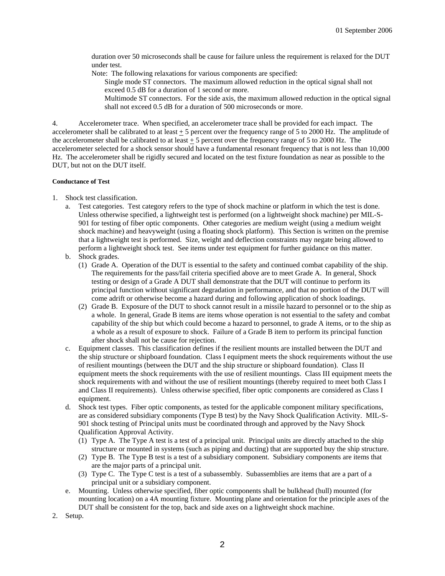duration over 50 microseconds shall be cause for failure unless the requirement is relaxed for the DUT under test.

Note: The following relaxations for various components are specified:

Single mode ST connectors. The maximum allowed reduction in the optical signal shall not exceed 0.5 dB for a duration of 1 second or more.

Multimode ST connectors. For the side axis, the maximum allowed reduction in the optical signal shall not exceed 0.5 dB for a duration of 500 microseconds or more.

4. Accelerometer trace. When specified, an accelerometer trace shall be provided for each impact. The accelerometer shall be calibrated to at least  $\pm 5$  percent over the frequency range of 5 to 2000 Hz. The amplitude of the accelerometer shall be calibrated to at least + 5 percent over the frequency range of 5 to 2000 Hz. The accelerometer selected for a shock sensor should have a fundamental resonant frequency that is not less than 10,000 Hz. The accelerometer shall be rigidly secured and located on the test fixture foundation as near as possible to the DUT, but not on the DUT itself.

#### **Conductance of Test**

- 1. Shock test classification.
	- a. Test categories. Test category refers to the type of shock machine or platform in which the test is done. Unless otherwise specified, a lightweight test is performed (on a lightweight shock machine) per MIL-S-901 for testing of fiber optic components. Other categories are medium weight (using a medium weight shock machine) and heavyweight (using a floating shock platform). This Section is written on the premise that a lightweight test is performed. Size, weight and deflection constraints may negate being allowed to perform a lightweight shock test. See items under test equipment for further guidance on this matter.
	- b. Shock grades.
		- (1) Grade A. Operation of the DUT is essential to the safety and continued combat capability of the ship. The requirements for the pass/fail criteria specified above are to meet Grade A. In general, Shock testing or design of a Grade A DUT shall demonstrate that the DUT will continue to perform its principal function without significant degradation in performance, and that no portion of the DUT will come adrift or otherwise become a hazard during and following application of shock loadings.
		- (2) Grade B. Exposure of the DUT to shock cannot result in a missile hazard to personnel or to the ship as a whole. In general, Grade B items are items whose operation is not essential to the safety and combat capability of the ship but which could become a hazard to personnel, to grade A items, or to the ship as a whole as a result of exposure to shock. Failure of a Grade B item to perform its principal function after shock shall not be cause for rejection.
	- c. Equipment classes. This classification defines if the resilient mounts are installed between the DUT and the ship structure or shipboard foundation. Class I equipment meets the shock requirements without the use of resilient mountings (between the DUT and the ship structure or shipboard foundation). Class II equipment meets the shock requirements with the use of resilient mountings. Class III equipment meets the shock requirements with and without the use of resilient mountings (thereby required to meet both Class I and Class II requirements). Unless otherwise specified, fiber optic components are considered as Class I equipment.
	- d. Shock test types. Fiber optic components, as tested for the applicable component military specifications, are as considered subsidiary components (Type B test) by the Navy Shock Qualification Activity. MIL-S-901 shock testing of Principal units must be coordinated through and approved by the Navy Shock Qualification Approval Activity.
		- (1) Type A. The Type A test is a test of a principal unit. Principal units are directly attached to the ship structure or mounted in systems (such as piping and ducting) that are supported buy the ship structure.
		- (2) Type B. The Type B test is a test of a subsidiary component. Subsidiary components are items that are the major parts of a principal unit.
		- (3) Type C. The Type C test is a test of a subassembly. Subassemblies are items that are a part of a principal unit or a subsidiary component.
	- e. Mounting. Unless otherwise specified, fiber optic components shall be bulkhead (hull) mounted (for mounting location) on a 4A mounting fixture. Mounting plane and orientation for the principle axes of the DUT shall be consistent for the top, back and side axes on a lightweight shock machine.
- 2. Setup.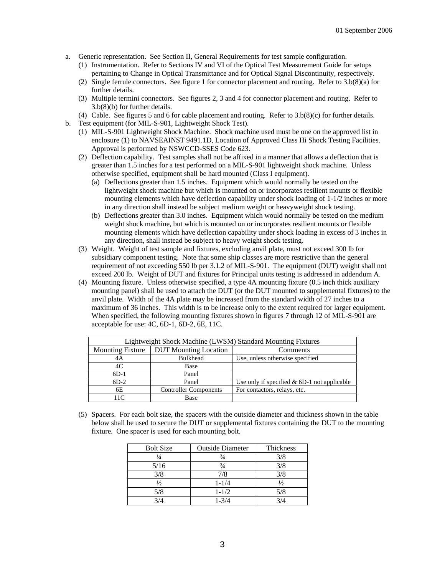- a. Generic representation. See Section II, General Requirements for test sample configuration.
	- (1) Instrumentation. Refer to Sections IV and VI of the Optical Test Measurement Guide for setups pertaining to Change in Optical Transmittance and for Optical Signal Discontinuity, respectively.
	- (2) Single ferrule connectors. See figure 1 for connector placement and routing. Refer to 3.b(8)(a) for further details.
	- (3) Multiple termini connectors. See figures 2, 3 and 4 for connector placement and routing. Refer to 3.b(8)(b) for further details.
	- (4) Cable. See figures 5 and 6 for cable placement and routing. Refer to 3.b(8)(c) for further details.
- b. Test equipment (for MIL-S-901, Lightweight Shock Test).
	- (1) MIL-S-901 Lightweight Shock Machine. Shock machine used must be one on the approved list in enclosure (1) to NAVSEAINST 9491.1D, Location of Approved Class Hi Shock Testing Facilities. Approval is performed by NSWCCD-SSES Code 623.
	- (2) Deflection capability. Test samples shall not be affixed in a manner that allows a deflection that is greater than 1.5 inches for a test performed on a MIL-S-901 lightweight shock machine. Unless otherwise specified, equipment shall be hard mounted (Class I equipment).
		- (a) Deflections greater than 1.5 inches. Equipment which would normally be tested on the lightweight shock machine but which is mounted on or incorporates resilient mounts or flexible mounting elements which have deflection capability under shock loading of 1-1/2 inches or more in any direction shall instead be subject medium weight or heavyweight shock testing.
		- (b) Deflections greater than 3.0 inches. Equipment which would normally be tested on the medium weight shock machine, but which is mounted on or incorporates resilient mounts or flexible mounting elements which have deflection capability under shock loading in excess of 3 inches in any direction, shall instead be subject to heavy weight shock testing.
	- (3) Weight. Weight of test sample and fixtures, excluding anvil plate, must not exceed 300 lb for subsidiary component testing. Note that some ship classes are more restrictive than the general requirement of not exceeding 550 lb per 3.1.2 of MIL-S-901. The equipment (DUT) weight shall not exceed 200 lb. Weight of DUT and fixtures for Principal units testing is addressed in addendum A.
	- (4) Mounting fixture. Unless otherwise specified, a type 4A mounting fixture (0.5 inch thick auxiliary mounting panel) shall be used to attach the DUT (or the DUT mounted to supplemental fixtures) to the anvil plate. Width of the 4A plate may be increased from the standard width of 27 inches to a maximum of 36 inches. This width is to be increase only to the extent required for larger equipment. When specified, the following mounting fixtures shown in figures 7 through 12 of MIL-S-901 are acceptable for use: 4C, 6D-1, 6D-2, 6E, 11C.

| Lightweight Shock Machine (LWSM) Standard Mounting Fixtures |                                          |                                               |  |
|-------------------------------------------------------------|------------------------------------------|-----------------------------------------------|--|
| <b>Mounting Fixture</b>                                     | <b>DUT</b> Mounting Location<br>Comments |                                               |  |
| 4A                                                          | <b>Bulkhead</b>                          | Use, unless otherwise specified               |  |
| 4C                                                          | Base                                     |                                               |  |
| $6D-1$                                                      | Panel                                    |                                               |  |
| $6D-2$                                                      | Panel                                    | Use only if specified $& 6D-1$ not applicable |  |
| 6E                                                          | <b>Controller Components</b>             | For contactors, relays, etc.                  |  |
| 11 $\Gamma$                                                 | <b>Base</b>                              |                                               |  |

(5) Spacers. For each bolt size, the spacers with the outside diameter and thickness shown in the table below shall be used to secure the DUT or supplemental fixtures containing the DUT to the mounting fixture. One spacer is used for each mounting bolt.

| <b>Outside Diameter</b> | Thickness     |
|-------------------------|---------------|
| $\frac{3}{4}$           | 3/8           |
| $\frac{3}{4}$           | 3/8           |
| 7/8                     | 3/8           |
| $1 - 1/4$               | $\frac{1}{2}$ |
| $1 - 1/2$               | 5/8           |
| $1 - 3/4$               |               |
|                         |               |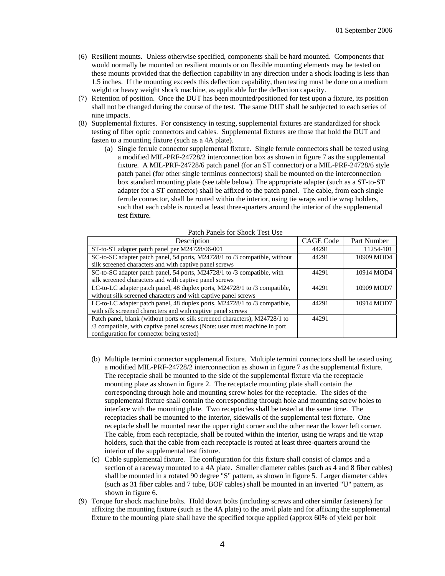- (6) Resilient mounts. Unless otherwise specified, components shall be hard mounted. Components that would normally be mounted on resilient mounts or on flexible mounting elements may be tested on these mounts provided that the deflection capability in any direction under a shock loading is less than 1.5 inches. If the mounting exceeds this deflection capability, then testing must be done on a medium weight or heavy weight shock machine, as applicable for the deflection capacity.
- (7) Retention of position. Once the DUT has been mounted/positioned for test upon a fixture, its position shall not be changed during the course of the test. The same DUT shall be subjected to each series of nine impacts.
- (8) Supplemental fixtures. For consistency in testing, supplemental fixtures are standardized for shock testing of fiber optic connectors and cables. Supplemental fixtures are those that hold the DUT and fasten to a mounting fixture (such as a 4A plate).
	- (a) Single ferrule connector supplemental fixture. Single ferrule connectors shall be tested using a modified MIL-PRF-24728/2 interconnection box as shown in figure 7 as the supplemental fixture. A MIL-PRF-24728/6 patch panel (for an ST connector) or a MIL-PRF-24728/6 style patch panel (for other single terminus connectors) shall be mounted on the interconnection box standard mounting plate (see table below). The appropriate adapter (such as a ST-to-ST adapter for a ST connector) shall be affixed to the patch panel. The cable, from each single ferrule connector, shall be routed within the interior, using tie wraps and tie wrap holders, such that each cable is routed at least three-quarters around the interior of the supplemental test fixture.

| Description                                                                 | <b>CAGE Code</b> | Part Number |
|-----------------------------------------------------------------------------|------------------|-------------|
| ST-to-ST adapter patch panel per M24728/06-001                              | 44291            | 11254-101   |
| SC-to-SC adapter patch panel, 54 ports, M24728/1 to /3 compatible, without  | 44291            | 10909 MOD4  |
| silk screened characters and with captive panel screws                      |                  |             |
| SC-to-SC adapter patch panel, 54 ports, M24728/1 to /3 compatible, with     | 44291            | 10914 MOD4  |
| silk screened characters and with captive panel screws                      |                  |             |
| LC-to-LC adapter patch panel, 48 duplex ports, M24728/1 to /3 compatible,   | 44291            | 10909 MOD7  |
| without silk screened characters and with captive panel screws              |                  |             |
| LC-to-LC adapter patch panel, 48 duplex ports, M24728/1 to /3 compatible,   | 44291            | 10914 MOD7  |
| with silk screened characters and with captive panel screws                 |                  |             |
| Patch panel, blank (without ports or silk screened characters), M24728/1 to | 44291            |             |
| /3 compatible, with captive panel screws (Note: user must machine in port)  |                  |             |
| configuration for connector being tested)                                   |                  |             |

### Patch Panels for Shock Test Use

- (b) Multiple termini connector supplemental fixture. Multiple termini connectors shall be tested using a modified MIL-PRF-24728/2 interconnection as shown in figure 7 as the supplemental fixture. The receptacle shall be mounted to the side of the supplemental fixture via the receptacle mounting plate as shown in figure 2. The receptacle mounting plate shall contain the corresponding through hole and mounting screw holes for the receptacle. The sides of the supplemental fixture shall contain the corresponding through hole and mounting screw holes to interface with the mounting plate. Two receptacles shall be tested at the same time. The receptacles shall be mounted to the interior, sidewalls of the supplemental test fixture. One receptacle shall be mounted near the upper right corner and the other near the lower left corner. The cable, from each receptacle, shall be routed within the interior, using tie wraps and tie wrap holders, such that the cable from each receptacle is routed at least three-quarters around the interior of the supplemental test fixture.
- (c) Cable supplemental fixture. The configuration for this fixture shall consist of clamps and a section of a raceway mounted to a 4A plate. Smaller diameter cables (such as 4 and 8 fiber cables) shall be mounted in a rotated 90 degree "S" pattern, as shown in figure 5. Larger diameter cables (such as 31 fiber cables and 7 tube, BOF cables) shall be mounted in an inverted "U" pattern, as shown in figure 6.
- (9) Torque for shock machine bolts. Hold down bolts (including screws and other similar fasteners) for affixing the mounting fixture (such as the 4A plate) to the anvil plate and for affixing the supplemental fixture to the mounting plate shall have the specified torque applied (approx 60% of yield per bolt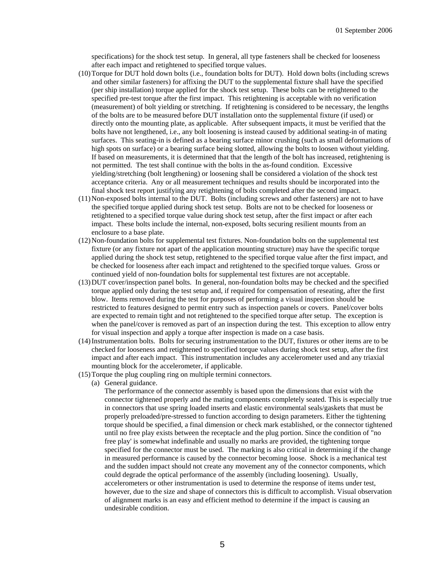specifications) for the shock test setup. In general, all type fasteners shall be checked for looseness after each impact and retightened to specified torque values.

- (10)Torque for DUT hold down bolts (i.e., foundation bolts for DUT). Hold down bolts (including screws and other similar fasteners) for affixing the DUT to the supplemental fixture shall have the specified (per ship installation) torque applied for the shock test setup. These bolts can be retightened to the specified pre-test torque after the first impact. This retightening is acceptable with no verification (measurement) of bolt yielding or stretching. If retightening is considered to be necessary, the lengths of the bolts are to be measured before DUT installation onto the supplemental fixture (if used) or directly onto the mounting plate, as applicable. After subsequent impacts, it must be verified that the bolts have not lengthened, i.e., any bolt loosening is instead caused by additional seating-in of mating surfaces. This seating-in is defined as a bearing surface minor crushing (such as small deformations of high spots on surface) or a bearing surface being slotted, allowing the bolts to loosen without yielding. If based on measurements, it is determined that that the length of the bolt has increased, retightening is not permitted. The test shall continue with the bolts in the as-found condition. Excessive yielding/stretching (bolt lengthening) or loosening shall be considered a violation of the shock test acceptance criteria. Any or all measurement techniques and results should be incorporated into the final shock test report justifying any retightening of bolts completed after the second impact.
- (11)Non-exposed bolts internal to the DUT. Bolts (including screws and other fasteners) are not to have the specified torque applied during shock test setup. Bolts are not to be checked for looseness or retightened to a specified torque value during shock test setup, after the first impact or after each impact. These bolts include the internal, non-exposed, bolts securing resilient mounts from an enclosure to a base plate.
- (12)Non-foundation bolts for supplemental test fixtures. Non-foundation bolts on the supplemental test fixture (or any fixture not apart of the application mounting structure) may have the specific torque applied during the shock test setup, retightened to the specified torque value after the first impact, and be checked for looseness after each impact and retightened to the specified torque values. Gross or continued yield of non-foundation bolts for supplemental test fixtures are not acceptable.
- (13)DUT cover/inspection panel bolts. In general, non-foundation bolts may be checked and the specified torque applied only during the test setup and, if required for compensation of reseating, after the first blow. Items removed during the test for purposes of performing a visual inspection should be restricted to features designed to permit entry such as inspection panels or covers. Panel/cover bolts are expected to remain tight and not retightened to the specified torque after setup. The exception is when the panel/cover is removed as part of an inspection during the test. This exception to allow entry for visual inspection and apply a torque after inspection is made on a case basis.
- (14)Instrumentation bolts. Bolts for securing instrumentation to the DUT, fixtures or other items are to be checked for looseness and retightened to specified torque values during shock test setup, after the first impact and after each impact. This instrumentation includes any accelerometer used and any triaxial mounting block for the accelerometer, if applicable.
- (15) Torque the plug coupling ring on multiple termini connectors.
	- (a) General guidance.

The performance of the connector assembly is based upon the dimensions that exist with the connector tightened properly and the mating components completely seated. This is especially true in connectors that use spring loaded inserts and elastic environmental seals/gaskets that must be properly preloaded/pre-stressed to function according to design parameters. Either the tightening torque should be specified, a final dimension or check mark established, or the connector tightened until no free play exists between the receptacle and the plug portion. Since the condition of "no free play' is somewhat indefinable and usually no marks are provided, the tightening torque specified for the connector must be used. The marking is also critical in determining if the change in measured performance is caused by the connector becoming loose. Shock is a mechanical test and the sudden impact should not create any movement any of the connector components, which could degrade the optical performance of the assembly (including loosening). Usually, accelerometers or other instrumentation is used to determine the response of items under test, however, due to the size and shape of connectors this is difficult to accomplish. Visual observation of alignment marks is an easy and efficient method to determine if the impact is causing an undesirable condition.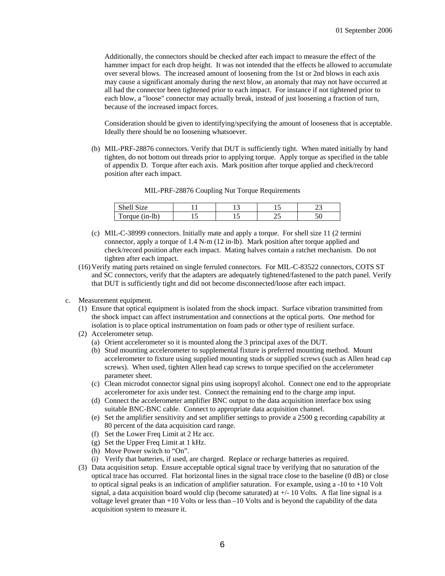Additionally, the connectors should be checked after each impact to measure the effect of the hammer impact for each drop height. It was not intended that the effects be allowed to accumulate over several blows. The increased amount of loosening from the 1st or 2nd blows in each axis may cause a significant anomaly during the next blow, an anomaly that may not have occurred at all had the connector been tightened prior to each impact. For instance if not tightened prior to each blow, a "loose" connector may actually break, instead of just loosening a fraction of turn, because of the increased impact forces.

Consideration should be given to identifying/specifying the amount of looseness that is acceptable. Ideally there should be no loosening whatsoever.

(b) MIL-PRF-28876 connectors. Verify that DUT is sufficiently tight. When mated initially by hand tighten, do not bottom out threads prior to applying torque. Apply torque as specified in the table of appendix D. Torque after each axis. Mark position after torque applied and check/record position after each impact.

| $\sim$<br>$\sim$<br>1Ze<br>Shell | - |  |
|----------------------------------|---|--|
| $(in-lb)$<br>m<br>Torque         |   |  |

MIL-PRF-28876 Coupling Nut Torque Requirements

- (c) MIL-C-38999 connectors. Initially mate and apply a torque. For shell size 11 (2 termini connector, apply a torque of 1.4 N-m (12 in-lb). Mark position after torque applied and check/record position after each impact. Mating halves contain a ratchet mechanism. Do not tighten after each impact.
- (16) Verify mating parts retained on single ferruled connectors. For MIL-C-83522 connectors, COTS ST and SC connectors, verify that the adapters are adequately tightened/fastened to the patch panel. Verify that DUT is sufficiently tight and did not become disconnected/loose after each impact.
- c. Measurement equipment.
	- (1) Ensure that optical equipment is isolated from the shock impact. Surface vibration transmitted from the shock impact can affect instrumentation and connections at the optical ports. One method for isolation is to place optical instrumentation on foam pads or other type of resilient surface.
	- (2) Accelerometer setup.
		- (a) Orient accelerometer so it is mounted along the 3 principal axes of the DUT.
		- (b) Stud mounting accelerometer to supplemental fixture is preferred mounting method. Mount accelerometer to fixture using supplied mounting studs or supplied screws (such as Allen head cap screws). When used, tighten Allen head cap screws to torque specified on the accelerometer parameter sheet.
		- (c) Clean microdot connector signal pins using isopropyl alcohol. Connect one end to the appropriate accelerometer for axis under test. Connect the remaining end to the charge amp input.
		- (d) Connect the accelerometer amplifier BNC output to the data acquisition interface box using suitable BNC-BNC cable. Connect to appropriate data acquisition channel.
		- (e) Set the amplifier sensitivity and set amplifier settings to provide a 2500 g recording capability at 80 percent of the data acquisition card range.
		- (f) Set the Lower Freq Limit at 2 Hz acc.
		- (g) Set the Upper Freq Limit at 1 kHz.
		- (h) Move Power switch to "On".
		- (i) Verify that batteries, if used, are charged. Replace or recharge batteries as required.
	- (3) Data acquisition setup. Ensure acceptable optical signal trace by verifying that no saturation of the optical trace has occurred. Flat horizontal lines in the signal trace close to the baseline (0 dB) or close to optical signal peaks is an indication of amplifier saturation. For example, using  $a - 10$  to  $+10$  Volt signal, a data acquisition board would clip (become saturated) at  $+/-10$  Volts. A flat line signal is a voltage level greater than +10 Volts or less than –10 Volts and is beyond the capability of the data acquisition system to measure it.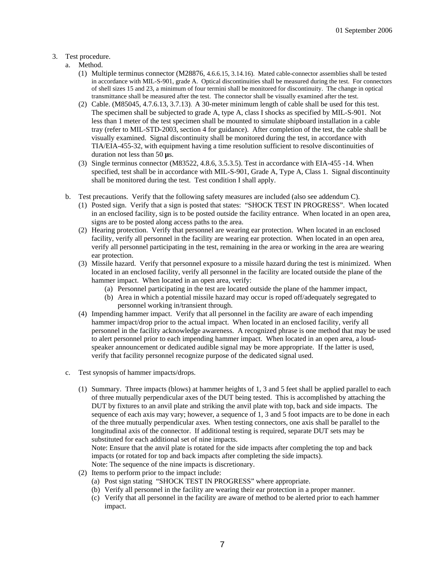### 3. Test procedure.

- a. Method.
	- (1) Multiple terminus connector (M28876, 4.6.6.15, 3.14.16). Mated cable-connector assemblies shall be tested in accordance with MIL-S-901, grade A. Optical discontinuities shall be measured during the test. For connectors of shell sizes 15 and 23, a minimum of four termini shall be monitored for discontinuity. The change in optical transmittance shall be measured after the test. The connector shall be visually examined after the test.
	- (2) Cable. (M85045, 4.7.6.13, 3.7.13). A 30-meter minimum length of cable shall be used for this test. The specimen shall be subjected to grade A, type A, class I shocks as specified by MIL-S-901. Not less than 1 meter of the test specimen shall be mounted to simulate shipboard installation in a cable tray (refer to MIL-STD-2003, section 4 for guidance). After completion of the test, the cable shall be visually examined. Signal discontinuity shall be monitored during the test, in accordance with TIA/EIA-455-32, with equipment having a time resolution sufficient to resolve discontinuities of duration not less than 50 **µ**s.
	- (3) Single terminus connector (M83522, 4.8.6, 3.5.3.5). Test in accordance with EIA-455 -14. When specified, test shall be in accordance with MIL-S-901, Grade A, Type A, Class 1. Signal discontinuity shall be monitored during the test. Test condition I shall apply.
	- b. Test precautions. Verify that the following safety measures are included (also see addendum C).
		- (1) Posted sign. Verify that a sign is posted that states: "SHOCK TEST IN PROGRESS". When located in an enclosed facility, sign is to be posted outside the facility entrance. When located in an open area, signs are to be posted along access paths to the area.
		- (2) Hearing protection. Verify that personnel are wearing ear protection. When located in an enclosed facility, verify all personnel in the facility are wearing ear protection. When located in an open area, verify all personnel participating in the test, remaining in the area or working in the area are wearing ear protection.
		- (3) Missile hazard. Verify that personnel exposure to a missile hazard during the test is minimized. When located in an enclosed facility, verify all personnel in the facility are located outside the plane of the hammer impact. When located in an open area, verify:
			- (a) Personnel participating in the test are located outside the plane of the hammer impact,
			- (b) Area in which a potential missile hazard may occur is roped off/adequately segregated to personnel working in/transient through.
		- (4) Impending hammer impact. Verify that all personnel in the facility are aware of each impending hammer impact/drop prior to the actual impact. When located in an enclosed facility, verify all personnel in the facility acknowledge awareness. A recognized phrase is one method that may be used to alert personnel prior to each impending hammer impact. When located in an open area, a loudspeaker announcement or dedicated audible signal may be more appropriate. If the latter is used, verify that facility personnel recognize purpose of the dedicated signal used.
	- c. Test synopsis of hammer impacts/drops.
		- (1) Summary. Three impacts (blows) at hammer heights of 1, 3 and 5 feet shall be applied parallel to each of three mutually perpendicular axes of the DUT being tested. This is accomplished by attaching the DUT by fixtures to an anvil plate and striking the anvil plate with top, back and side impacts. The sequence of each axis may vary; however, a sequence of 1, 3 and 5 foot impacts are to be done in each of the three mutually perpendicular axes. When testing connectors, one axis shall be parallel to the longitudinal axis of the connector. If additional testing is required, separate DUT sets may be substituted for each additional set of nine impacts. Note: Ensure that the anvil plate is rotated for the side impacts after completing the top and back

impacts (or rotated for top and back impacts after completing the side impacts). Note: The sequence of the nine impacts is discretionary.

- (2) Items to perform prior to the impact include:
	- (a) Post sign stating "SHOCK TEST IN PROGRESS" where appropriate.
	- (b) Verify all personnel in the facility are wearing their ear protection in a proper manner.
	- (c) Verify that all personnel in the facility are aware of method to be alerted prior to each hammer impact.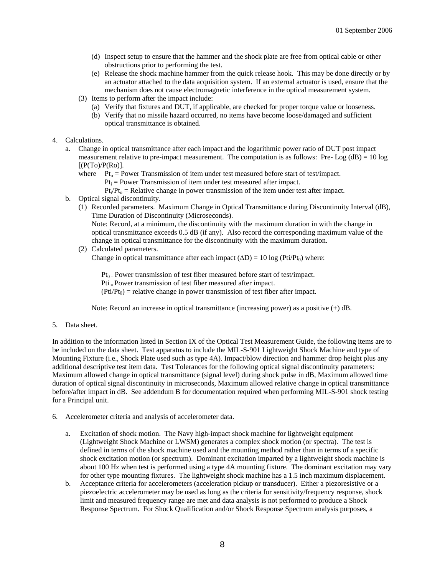- (d) Inspect setup to ensure that the hammer and the shock plate are free from optical cable or other obstructions prior to performing the test.
- (e) Release the shock machine hammer from the quick release hook. This may be done directly or by an actuator attached to the data acquisition system. If an external actuator is used, ensure that the mechanism does not cause electromagnetic interference in the optical measurement system.
- (3) Items to perform after the impact include:
	- (a) Verify that fixtures and DUT, if applicable, are checked for proper torque value or looseness.
	- (b) Verify that no missile hazard occurred, no items have become loose/damaged and sufficient optical transmittance is obtained.
- 4. Calculations.
	- a. Change in optical transmittance after each impact and the logarithmic power ratio of DUT post impact measurement relative to pre-impact measurement. The computation is as follows: Pre-Log  $(dB) = 10 \log$  $[(P(T<sub>O</sub>)/P(R<sub>O</sub>)].$ 
		- where  $Pt_0 = Power$  Transmission of item under test measured before start of test/impact.  $Pt_i = Power Transmission of item under test measured after impact.$

 $Pt<sub>i</sub>/Pt<sub>o</sub> = Relative change in power transmission of the item under test after impact.$ 

- b. Optical signal discontinuity.
	- (1) Recorded parameters. Maximum Change in Optical Transmittance during Discontinuity Interval (dB), Time Duration of Discontinuity (Microseconds).
		- Note: Record, at a minimum, the discontinuity with the maximum duration in with the change in optical transmittance exceeds 0.5 dB (if any). Also record the corresponding maximum value of the change in optical transmittance for the discontinuity with the maximum duration.
	- (2) Calculated parameters.

Change in optical transmittance after each impact  $(\Delta D) = 10 \log (Pti/Pt_0)$  where:

 $Pt_{0}$  = Power transmission of test fiber measured before start of test/impact.

Pti = Power transmission of test fiber measured after impact.

 $(Pti/Pt<sub>0</sub>)$  = relative change in power transmission of test fiber after impact.

Note: Record an increase in optical transmittance (increasing power) as a positive (+) dB.

5. Data sheet.

In addition to the information listed in Section IX of the Optical Test Measurement Guide, the following items are to be included on the data sheet. Test apparatus to include the MIL-S-901 Lightweight Shock Machine and type of Mounting Fixture (i.e., Shock Plate used such as type 4A). Impact/blow direction and hammer drop height plus any additional descriptive test item data. Test Tolerances for the following optical signal discontinuity parameters: Maximum allowed change in optical transmittance (signal level) during shock pulse in dB, Maximum allowed time duration of optical signal discontinuity in microseconds, Maximum allowed relative change in optical transmittance before/after impact in dB. See addendum B for documentation required when performing MIL-S-901 shock testing for a Principal unit.

- 6. Accelerometer criteria and analysis of accelerometer data.
	- a. Excitation of shock motion. The Navy high-impact shock machine for lightweight equipment (Lightweight Shock Machine or LWSM) generates a complex shock motion (or spectra). The test is defined in terms of the shock machine used and the mounting method rather than in terms of a specific shock excitation motion (or spectrum). Dominant excitation imparted by a lightweight shock machine is about 100 Hz when test is performed using a type 4A mounting fixture. The dominant excitation may vary for other type mounting fixtures. The lightweight shock machine has a 1.5 inch maximum displacement.
	- b. Acceptance criteria for accelerometers (acceleration pickup or transducer). Either a piezoresistive or a piezoelectric accelerometer may be used as long as the criteria for sensitivity/frequency response, shock limit and measured frequency range are met and data analysis is not performed to produce a Shock Response Spectrum. For Shock Qualification and/or Shock Response Spectrum analysis purposes, a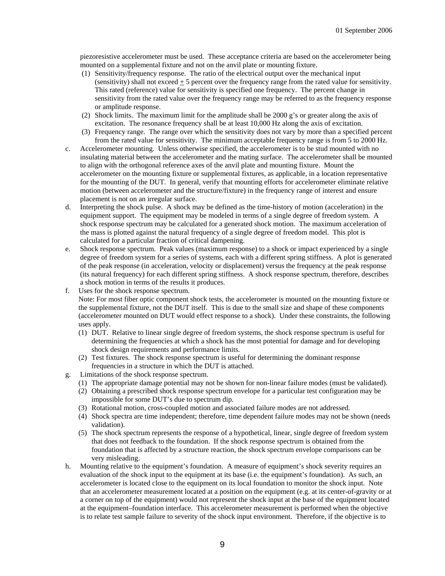piezoresistive accelerometer must be used. These acceptance criteria are based on the accelerometer being mounted on a supplemental fixture and not on the anvil plate or mounting fixture.

- (1) Sensitivity/frequency response. The ratio of the electrical output over the mechanical input (sensitivity) shall not exceed  $\pm$  5 percent over the frequency range from the rated value for sensitivity. This rated (reference) value for sensitivity is specified one frequency. The percent change in sensitivity from the rated value over the frequency range may be referred to as the frequency response or amplitude response.
- (2) Shock limits. The maximum limit for the amplitude shall be 2000 g's or greater along the axis of excitation. The resonance frequency shall be at least 10,000 Hz along the axis of excitation.
- (3) Frequency range. The range over which the sensitivity does not vary by more than a specified percent from the rated value for sensitivity. The minimum acceptable frequency range is from 5 to 2000 Hz.
- c. Accelerometer mounting. Unless otherwise specified, the accelerometer is to be stud mounted with no insulating material between the accelerometer and the mating surface. The accelerometer shall be mounted to align with the orthogonal reference axes of the anvil plate and mounting fixture. Mount the accelerometer on the mounting fixture or supplemental fixtures, as applicable, in a location representative for the mounting of the DUT. In general, verify that mounting efforts for accelerometer eliminate relative motion (between accelerometer and the structure/fixture) in the frequency range of interest and ensure placement is not on an irregular surface.
- d. Interpreting the shock pulse. A shock may be defined as the time-history of motion (acceleration) in the equipment support. The equipment may be modeled in terms of a single degree of freedom system. A shock response spectrum may be calculated for a generated shock motion. The maximum acceleration of the mass is plotted against the natural frequency of a single degree of freedom model. This plot is calculated for a particular fraction of critical dampening.
- e. Shock response spectrum. Peak values (maximum response) to a shock or impact experienced by a single degree of freedom system for a series of systems, each with a different spring stiffness. A plot is generated of the peak response (in acceleration, velocity or displacement) versus the frequency at the peak response (its natural frequency) for each different spring stiffness. A shock response spectrum, therefore, describes a shock motion in terms of the results it produces.
- f. Uses for the shock response spectrum. Note: For most fiber optic component shock tests, the accelerometer is mounted on the mounting fixture or the supplemental fixture, not the DUT itself. This is due to the small size and shape of these components (accelerometer mounted on DUT would effect response to a shock). Under these constraints, the following uses apply.
	- (1) DUT. Relative to linear single degree of freedom systems, the shock response spectrum is useful for determining the frequencies at which a shock has the most potential for damage and for developing shock design requirements and performance limits.
	- (2) Test fixtures. The shock response spectrum is useful for determining the dominant response frequencies in a structure in which the DUT is attached.
- g. Limitations of the shock response spectrum.
	- (1) The appropriate damage potential may not be shown for non-linear failure modes (must be validated).
	- (2) Obtaining a prescribed shock response spectrum envelope for a particular test configuration may be impossible for some DUT's due to spectrum dip.
	- (3) Rotational motion, cross-coupled motion and associated failure modes are not addressed.
	- (4) Shock spectra are time independent; therefore, time dependent failure modes may not be shown (needs validation).
	- (5) The shock spectrum represents the response of a hypothetical, linear, single degree of freedom system that does not feedback to the foundation. If the shock response spectrum is obtained from the foundation that is affected by a structure reaction, the shock spectrum envelope comparisons can be very misleading.
- h. Mounting relative to the equipment's foundation. A measure of equipment's shock severity requires an evaluation of the shock input to the equipment at its base (i.e. the equipment's foundation). As such, an accelerometer is located close to the equipment on its local foundation to monitor the shock input. Note that an accelerometer measurement located at a position on the equipment (e.g. at its center-of-gravity or at a corner on top of the equipment) would not represent the shock input at the base of the equipment located at the equipment–foundation interface. This accelerometer measurement is performed when the objective is to relate test sample failure to severity of the shock input environment. Therefore, if the objective is to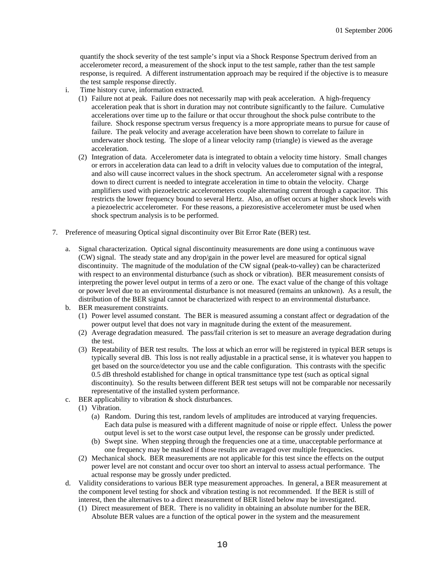quantify the shock severity of the test sample's input via a Shock Response Spectrum derived from an accelerometer record, a measurement of the shock input to the test sample, rather than the test sample response, is required. A different instrumentation approach may be required if the objective is to measure the test sample response directly.

- i. Time history curve, information extracted.
	- (1) Failure not at peak. Failure does not necessarily map with peak acceleration. A high-frequency acceleration peak that is short in duration may not contribute significantly to the failure. Cumulative accelerations over time up to the failure or that occur throughout the shock pulse contribute to the failure. Shock response spectrum versus frequency is a more appropriate means to pursue for cause of failure. The peak velocity and average acceleration have been shown to correlate to failure in underwater shock testing. The slope of a linear velocity ramp (triangle) is viewed as the average acceleration.
	- (2) Integration of data. Accelerometer data is integrated to obtain a velocity time history. Small changes or errors in acceleration data can lead to a drift in velocity values due to computation of the integral, and also will cause incorrect values in the shock spectrum. An accelerometer signal with a response down to direct current is needed to integrate acceleration in time to obtain the velocity. Charge amplifiers used with piezoelectric accelerometers couple alternating current through a capacitor. This restricts the lower frequency bound to several Hertz. Also, an offset occurs at higher shock levels with a piezoelectric accelerometer. For these reasons, a piezoresistive accelerometer must be used when shock spectrum analysis is to be performed.
- 7. Preference of measuring Optical signal discontinuity over Bit Error Rate (BER) test.
	- a. Signal characterization. Optical signal discontinuity measurements are done using a continuous wave (CW) signal. The steady state and any drop/gain in the power level are measured for optical signal discontinuity. The magnitude of the modulation of the CW signal (peak-to-valley) can be characterized with respect to an environmental disturbance (such as shock or vibration). BER measurement consists of interpreting the power level output in terms of a zero or one. The exact value of the change of this voltage or power level due to an environmental disturbance is not measured (remains an unknown). As a result, the distribution of the BER signal cannot be characterized with respect to an environmental disturbance.
	- b. BER measurement constraints.
		- (1) Power level assumed constant. The BER is measured assuming a constant affect or degradation of the power output level that does not vary in magnitude during the extent of the measurement.
		- (2) Average degradation measured. The pass/fail criterion is set to measure an average degradation during the test.
		- (3) Repeatability of BER test results. The loss at which an error will be registered in typical BER setups is typically several dB. This loss is not really adjustable in a practical sense, it is whatever you happen to get based on the source/detector you use and the cable configuration. This contrasts with the specific 0.5 dB threshold established for change in optical transmittance type test (such as optical signal discontinuity). So the results between different BER test setups will not be comparable nor necessarily representative of the installed system performance.
	- c. BER applicability to vibration & shock disturbances.
		- (1) Vibration.
			- (a) Random. During this test, random levels of amplitudes are introduced at varying frequencies. Each data pulse is measured with a different magnitude of noise or ripple effect. Unless the power output level is set to the worst case output level, the response can be grossly under predicted.
			- (b) Swept sine. When stepping through the frequencies one at a time, unacceptable performance at one frequency may be masked if those results are averaged over multiple frequencies.
		- (2) Mechanical shock. BER measurements are not applicable for this test since the effects on the output power level are not constant and occur over too short an interval to assess actual performance. The actual response may be grossly under predicted.
	- d. Validity considerations to various BER type measurement approaches. In general, a BER measurement at the component level testing for shock and vibration testing is not recommended. If the BER is still of interest, then the alternatives to a direct measurement of BER listed below may be investigated.
		- (1) Direct measurement of BER. There is no validity in obtaining an absolute number for the BER. Absolute BER values are a function of the optical power in the system and the measurement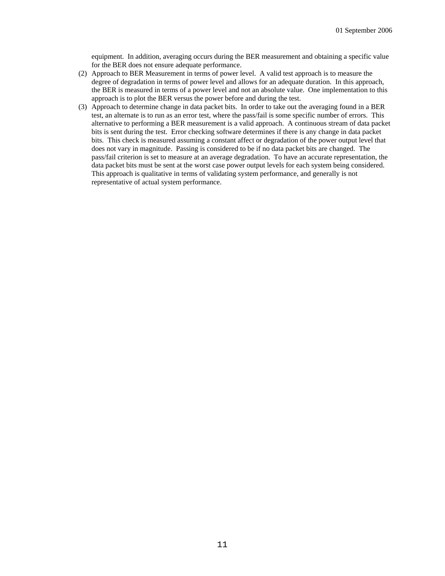equipment. In addition, averaging occurs during the BER measurement and obtaining a specific value for the BER does not ensure adequate performance.

- (2) Approach to BER Measurement in terms of power level. A valid test approach is to measure the degree of degradation in terms of power level and allows for an adequate duration. In this approach, the BER is measured in terms of a power level and not an absolute value. One implementation to this approach is to plot the BER versus the power before and during the test.
- (3) Approach to determine change in data packet bits. In order to take out the averaging found in a BER test, an alternate is to run as an error test, where the pass/fail is some specific number of errors. This alternative to performing a BER measurement is a valid approach. A continuous stream of data packet bits is sent during the test. Error checking software determines if there is any change in data packet bits. This check is measured assuming a constant affect or degradation of the power output level that does not vary in magnitude. Passing is considered to be if no data packet bits are changed. The pass/fail criterion is set to measure at an average degradation. To have an accurate representation, the data packet bits must be sent at the worst case power output levels for each system being considered. This approach is qualitative in terms of validating system performance, and generally is not representative of actual system performance.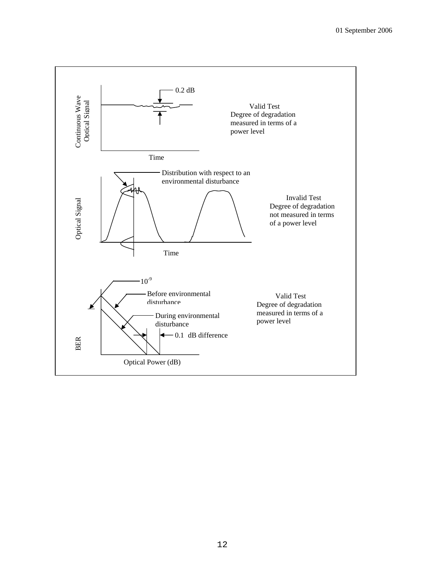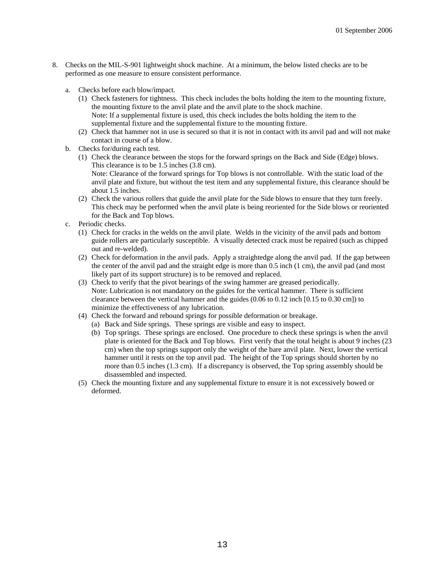- 8. Checks on the MIL-S-901 lightweight shock machine. At a minimum, the below listed checks are to be performed as one measure to ensure consistent performance.
	- a. Checks before each blow/impact.
		- (1) Check fasteners for tightness. This check includes the bolts holding the item to the mounting fixture, the mounting fixture to the anvil plate and the anvil plate to the shock machine. Note: If a supplemental fixture is used, this check includes the bolts holding the item to the supplemental fixture and the supplemental fixture to the mounting fixture.
		- (2) Check that hammer not in use is secured so that it is not in contact with its anvil pad and will not make contact in course of a blow.
	- b. Checks for/during each test.
		- (1) Check the clearance between the stops for the forward springs on the Back and Side (Edge) blows. This clearance is to be 1.5 inches (3.8 cm). Note: Clearance of the forward springs for Top blows is not controllable. With the static load of the anvil plate and fixture, but without the test item and any supplemental fixture, this clearance should be about 1.5 inches.
		- (2) Check the various rollers that guide the anvil plate for the Side blows to ensure that they turn freely. This check may be performed when the anvil plate is being reoriented for the Side blows or reoriented for the Back and Top blows.
	- c. Periodic checks.
		- (1) Check for cracks in the welds on the anvil plate. Welds in the vicinity of the anvil pads and bottom guide rollers are particularly susceptible. A visually detected crack must be repaired (such as chipped out and re-welded).
		- (2) Check for deformation in the anvil pads. Apply a straightedge along the anvil pad. If the gap between the center of the anvil pad and the straight edge is more than 0.5 inch (1 cm), the anvil pad (and most likely part of its support structure) is to be removed and replaced.
		- (3) Check to verify that the pivot bearings of the swing hammer are greased periodically. Note: Lubrication is not mandatory on the guides for the vertical hammer. There is sufficient clearance between the vertical hammer and the guides (0.06 to 0.12 inch [0.15 to 0.30 cm]) to minimize the effectiveness of any lubrication.
		- (4) Check the forward and rebound springs for possible deformation or breakage.
			- (a) Back and Side springs. These springs are visible and easy to inspect.
			- (b) Top springs. These springs are enclosed. One procedure to check these springs is when the anvil plate is oriented for the Back and Top blows. First verify that the total height is about 9 inches (23 cm) when the top springs support only the weight of the bare anvil plate. Next, lower the vertical hammer until it rests on the top anvil pad. The height of the Top springs should shorten by no more than 0.5 inches (1.3 cm). If a discrepancy is observed, the Top spring assembly should be disassembled and inspected.
		- (5) Check the mounting fixture and any supplemental fixture to ensure it is not excessively bowed or deformed.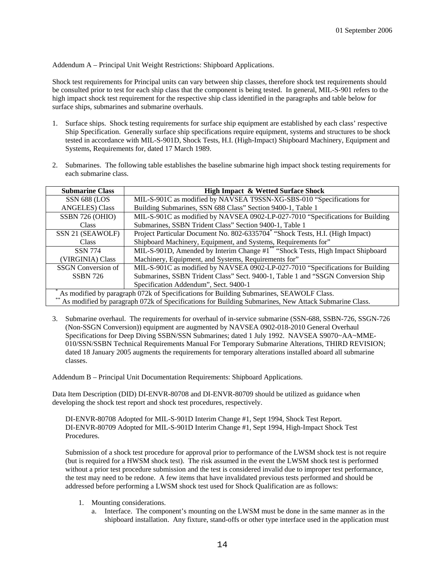Addendum A – Principal Unit Weight Restrictions: Shipboard Applications.

Shock test requirements for Principal units can vary between ship classes, therefore shock test requirements should be consulted prior to test for each ship class that the component is being tested. In general, MIL-S-901 refers to the high impact shock test requirement for the respective ship class identified in the paragraphs and table below for surface ships, submarines and submarine overhauls.

- 1. Surface ships. Shock testing requirements for surface ship equipment are established by each class' respective Ship Specification. Generally surface ship specifications require equipment, systems and structures to be shock tested in accordance with MIL-S-901D, Shock Tests, H.I. (High-Impact) Shipboard Machinery, Equipment and Systems, Requirements for, dated 17 March 1989.
- 2. Submarines. The following table establishes the baseline submarine high impact shock testing requirements for each submarine class.

| <b>Submarine Class</b>                                                                               | <b>High Impact &amp; Wetted Surface Shock</b>                                              |  |
|------------------------------------------------------------------------------------------------------|--------------------------------------------------------------------------------------------|--|
| SSN 688 (LOS                                                                                         | MIL-S-901C as modified by NAVSEA T9SSN-XG-SBS-010 "Specifications for                      |  |
| <b>ANGELES</b> ) Class                                                                               | Building Submarines, SSN 688 Class" Section 9400-1, Table 1                                |  |
| SSBN 726 (OHIO)                                                                                      | MIL-S-901C as modified by NAVSEA 0902-LP-027-7010 "Specifications for Building             |  |
| Class                                                                                                | Submarines, SSBN Trident Class" Section 9400-1, Table 1                                    |  |
| SSN 21 (SEAWOLF)                                                                                     | Project Particular Document No. 802-6335704 <sup>*</sup> "Shock Tests, H.I. (High Impact)  |  |
| <b>Class</b>                                                                                         | Shipboard Machinery, Equipment, and Systems, Requirements for"                             |  |
| <b>SSN 774</b>                                                                                       | MIL-S-901D, Amended by Interim Change #1 <sup>**</sup> "Shock Tests, High Impact Shipboard |  |
| (VIRGINIA) Class                                                                                     | Machinery, Equipment, and Systems, Requirements for"                                       |  |
| <b>SSGN</b> Conversion of                                                                            | MIL-S-901C as modified by NAVSEA 0902-LP-027-7010 "Specifications for Building             |  |
| <b>SSBN 726</b>                                                                                      | Submarines, SSBN Trident Class" Sect. 9400-1, Table 1 and "SSGN Conversion Ship            |  |
|                                                                                                      | Specification Addendum", Sect. 9400-1                                                      |  |
| As modified by paragraph 072k of Specifications for Building Submarines, SEAWOLF Class.              |                                                                                            |  |
| As modified by paragraph 072k of Specifications for Building Submarines, New Attack Submarine Class. |                                                                                            |  |

3. Submarine overhaul. The requirements for overhaul of in-service submarine (SSN-688, SSBN-726, SSGN-726 (Non-SSGN Conversion)) equipment are augmented by NAVSEA 0902-018-2010 General Overhaul Specifications for Deep Diving SSBN/SSN Submarines; dated 1 July 1992. NAVSEA S9070~AA~MME-010/SSN/SSBN Technical Requirements Manual For Temporary Submarine Alterations, THIRD REVISION; dated 18 January 2005 augments the requirements for temporary alterations installed aboard all submarine classes.

Addendum B – Principal Unit Documentation Requirements: Shipboard Applications.

Data Item Description (DID) DI-ENVR-80708 and DI-ENVR-80709 should be utilized as guidance when developing the shock test report and shock test procedures, respectively.

DI-ENVR-80708 Adopted for MIL-S-901D Interim Change #1, Sept 1994, Shock Test Report. DI-ENVR-80709 Adopted for MIL-S-901D Interim Change #1, Sept 1994, High-Impact Shock Test Procedures.

Submission of a shock test procedure for approval prior to performance of the LWSM shock test is not require (but is required for a HWSM shock test). The risk assumed in the event the LWSM shock test is performed without a prior test procedure submission and the test is considered invalid due to improper test performance, the test may need to be redone. A few items that have invalidated previous tests performed and should be addressed before performing a LWSM shock test used for Shock Qualification are as follows:

- 1. Mounting considerations.
	- a. Interface. The component's mounting on the LWSM must be done in the same manner as in the shipboard installation. Any fixture, stand-offs or other type interface used in the application must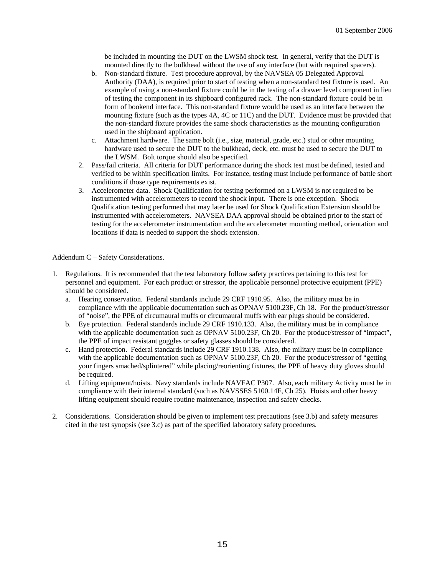be included in mounting the DUT on the LWSM shock test. In general, verify that the DUT is mounted directly to the bulkhead without the use of any interface (but with required spacers).

- b. Non-standard fixture. Test procedure approval, by the NAVSEA 05 Delegated Approval Authority (DAA), is required prior to start of testing when a non-standard test fixture is used. An example of using a non-standard fixture could be in the testing of a drawer level component in lieu of testing the component in its shipboard configured rack. The non-standard fixture could be in form of bookend interface. This non-standard fixture would be used as an interface between the mounting fixture (such as the types 4A, 4C or 11C) and the DUT. Evidence must be provided that the non-standard fixture provides the same shock characteristics as the mounting configuration used in the shipboard application.
- c. Attachment hardware. The same bolt (i.e., size, material, grade, etc.) stud or other mounting hardware used to secure the DUT to the bulkhead, deck, etc. must be used to secure the DUT to the LWSM. Bolt torque should also be specified.
- 2. Pass/fail criteria. All criteria for DUT performance during the shock test must be defined, tested and verified to be within specification limits. For instance, testing must include performance of battle short conditions if those type requirements exist.
- 3. Accelerometer data. Shock Qualification for testing performed on a LWSM is not required to be instrumented with accelerometers to record the shock input. There is one exception. Shock Qualification testing performed that may later be used for Shock Qualification Extension should be instrumented with accelerometers. NAVSEA DAA approval should be obtained prior to the start of testing for the accelerometer instrumentation and the accelerometer mounting method, orientation and locations if data is needed to support the shock extension.

Addendum C – Safety Considerations.

- 1. Regulations. It is recommended that the test laboratory follow safety practices pertaining to this test for personnel and equipment. For each product or stressor, the applicable personnel protective equipment (PPE) should be considered.
	- a. Hearing conservation. Federal standards include 29 CRF 1910.95. Also, the military must be in compliance with the applicable documentation such as OPNAV 5100.23F, Ch 18. For the product/stressor of "noise", the PPE of circumaural muffs or circumaural muffs with ear plugs should be considered.
	- b. Eye protection. Federal standards include 29 CRF 1910.133. Also, the military must be in compliance with the applicable documentation such as OPNAV 5100.23F, Ch 20. For the product/stressor of "impact", the PPE of impact resistant goggles or safety glasses should be considered.
	- c. Hand protection. Federal standards include 29 CRF 1910.138. Also, the military must be in compliance with the applicable documentation such as OPNAV 5100.23F, Ch 20. For the product/stressor of "getting your fingers smached/splintered" while placing/reorienting fixtures, the PPE of heavy duty gloves should be required.
	- d. Lifting equipment/hoists. Navy standards include NAVFAC P307. Also, each military Activity must be in compliance with their internal standard (such as NAVSSES 5100.14F, Ch 25). Hoists and other heavy lifting equipment should require routine maintenance, inspection and safety checks.
- 2. Considerations. Consideration should be given to implement test precautions (see 3.b) and safety measures cited in the test synopsis (see 3.c) as part of the specified laboratory safety procedures.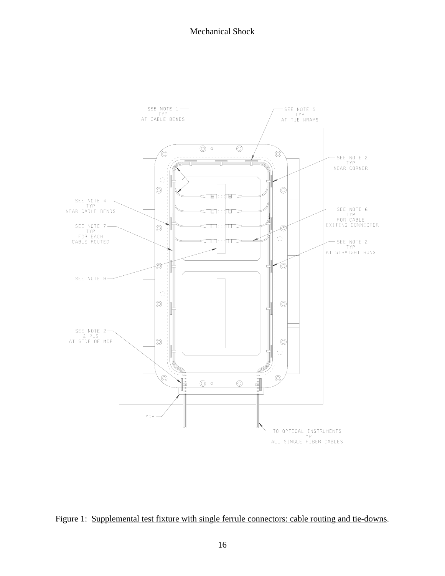

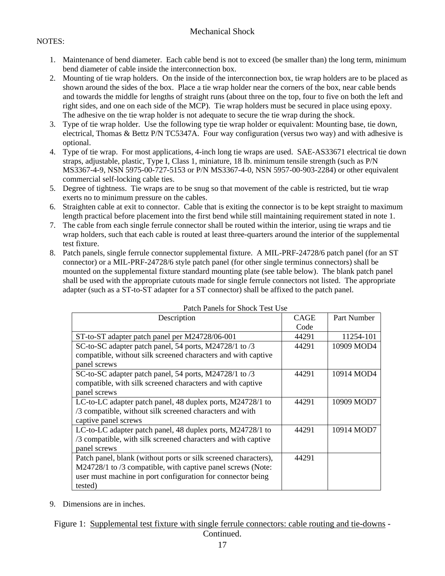## NOTES:

- 1. Maintenance of bend diameter. Each cable bend is not to exceed (be smaller than) the long term, minimum bend diameter of cable inside the interconnection box.
- 2. Mounting of tie wrap holders. On the inside of the interconnection box, tie wrap holders are to be placed as shown around the sides of the box. Place a tie wrap holder near the corners of the box, near cable bends and towards the middle for lengths of straight runs (about three on the top, four to five on both the left and right sides, and one on each side of the MCP). Tie wrap holders must be secured in place using epoxy. The adhesive on the tie wrap holder is not adequate to secure the tie wrap during the shock.
- 3. Type of tie wrap holder. Use the following type tie wrap holder or equivalent: Mounting base, tie down, electrical, Thomas & Bettz P/N TC5347A. Four way configuration (versus two way) and with adhesive is optional.
- 4. Type of tie wrap. For most applications, 4-inch long tie wraps are used. SAE-AS33671 electrical tie down straps, adjustable, plastic, Type I, Class 1, miniature, 18 lb. minimum tensile strength (such as P/N MS3367-4-9, NSN 5975-00-727-5153 or P/N MS3367-4-0, NSN 5957-00-903-2284) or other equivalent commercial self-locking cable ties.
- 5. Degree of tightness. Tie wraps are to be snug so that movement of the cable is restricted, but tie wrap exerts no to minimum pressure on the cables.
- 6. Straighten cable at exit to connector. Cable that is exiting the connector is to be kept straight to maximum length practical before placement into the first bend while still maintaining requirement stated in note 1.
- 7. The cable from each single ferrule connector shall be routed within the interior, using tie wraps and tie wrap holders, such that each cable is routed at least three-quarters around the interior of the supplemental test fixture.
- 8. Patch panels, single ferrule connector supplemental fixture. A MIL-PRF-24728/6 patch panel (for an ST connector) or a MIL-PRF-24728/6 style patch panel (for other single terminus connectors) shall be mounted on the supplemental fixture standard mounting plate (see table below). The blank patch panel shall be used with the appropriate cutouts made for single ferrule connectors not listed. The appropriate adapter (such as a ST-to-ST adapter for a ST connector) shall be affixed to the patch panel.

| I AULTE ATTEIN TOT SHOCK TEST ONE                               | <b>CAGE</b> |             |
|-----------------------------------------------------------------|-------------|-------------|
| Description                                                     |             | Part Number |
|                                                                 | Code        |             |
| ST-to-ST adapter patch panel per M24728/06-001                  | 44291       | 11254-101   |
| SC-to-SC adapter patch panel, 54 ports, M24728/1 to /3          | 44291       | 10909 MOD4  |
| compatible, without silk screened characters and with captive   |             |             |
| panel screws                                                    |             |             |
| SC-to-SC adapter patch panel, 54 ports, M24728/1 to /3          | 44291       | 10914 MOD4  |
| compatible, with silk screened characters and with captive      |             |             |
| panel screws                                                    |             |             |
| LC-to-LC adapter patch panel, 48 duplex ports, M24728/1 to      | 44291       | 10909 MOD7  |
| /3 compatible, without silk screened characters and with        |             |             |
| captive panel screws                                            |             |             |
| LC-to-LC adapter patch panel, 48 duplex ports, M24728/1 to      | 44291       | 10914 MOD7  |
| /3 compatible, with silk screened characters and with captive   |             |             |
| panel screws                                                    |             |             |
| Patch panel, blank (without ports or silk screened characters), | 44291       |             |
| M24728/1 to /3 compatible, with captive panel screws (Note:     |             |             |
| user must machine in port configuration for connector being     |             |             |
| tested)                                                         |             |             |

|--|

9. Dimensions are in inches.

Figure 1: Supplemental test fixture with single ferrule connectors: cable routing and tie-downs - Continued.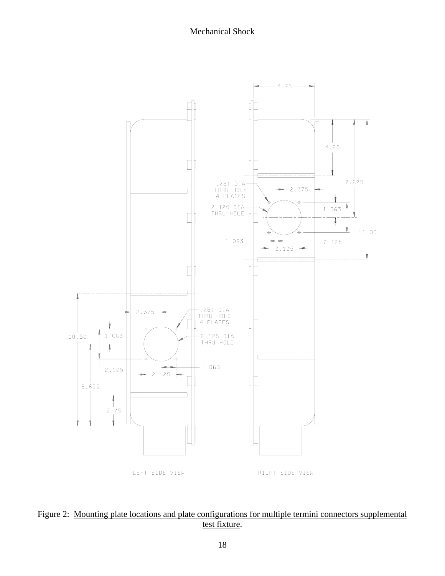

Figure 2: Mounting plate locations and plate configurations for multiple termini connectors supplemental test fixture.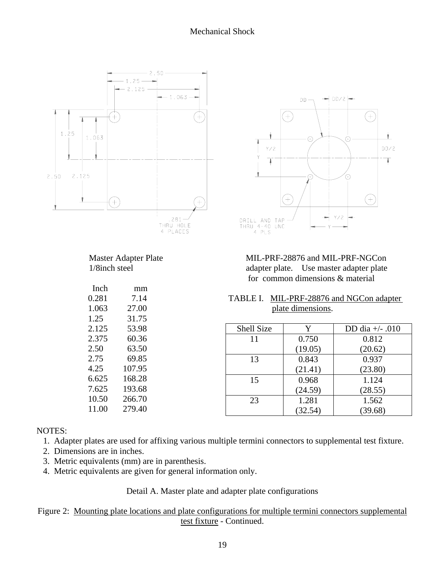



for common dimensions & material

| TABLE I. MIL-PRF-28876 and NGCon adapter |
|------------------------------------------|
| plate dimensions.                        |

| Shell Size | Y       | DD dia $+/-.010$ |
|------------|---------|------------------|
| 11         | 0.750   | 0.812            |
|            | (19.05) | (20.62)          |
| 13         | 0.843   | 0.937            |
|            | (21.41) | (23.80)          |
| 15         | 0.968   | 1.124            |
|            | (24.59) | (28.55)          |
| 23         | 1.281   | 1.562            |
|            | (32.54) | (39.68)          |

## NOTES:

- 1. Adapter plates are used for affixing various multiple termini connectors to supplemental test fixture.
- 2. Dimensions are in inches.
- 3. Metric equivalents (mm) are in parenthesis.

10.50 266.70 11.00 279.40

4. Metric equivalents are given for general information only.

## Detail A. Master plate and adapter plate configurations

## Figure 2: Mounting plate locations and plate configurations for multiple termini connectors supplemental test fixture - Continued.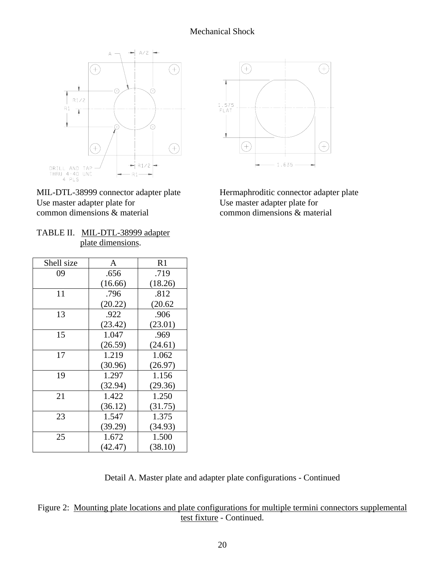

MIL-DTL-38999 connector adapter plate Hermaphroditic connector adapter plate Use master adapter plate for Use master adapter plate for common dimensions & material common dimensions & material

| TABLE II. MIL-DTL-38999 adapter |
|---------------------------------|
| plate dimensions.               |

| Shell size | A       | R <sub>1</sub> |
|------------|---------|----------------|
| 09         | .656    | .719           |
|            | (16.66) | (18.26)        |
| 11         | .796    | .812           |
|            | (20.22) | (20.62)        |
| 13         | .922    | .906           |
|            | (23.42) | (23.01)        |
| 15         | 1.047   | .969           |
|            | (26.59) | (24.61)        |
| 17         | 1.219   | 1.062          |
|            | (30.96) | (26.97)        |
| 19         | 1.297   | 1.156          |
|            | (32.94) | (29.36)        |
| 21         | 1.422   | 1.250          |
|            | (36.12) | (31.75)        |
| 23         | 1.547   | 1.375          |
|            | (39.29) | (34.93)        |
| 25         | 1.672   | 1.500          |
|            | (42.47) | (38.10)        |



Detail A. Master plate and adapter plate configurations - Continued

Figure 2: Mounting plate locations and plate configurations for multiple termini connectors supplemental test fixture - Continued.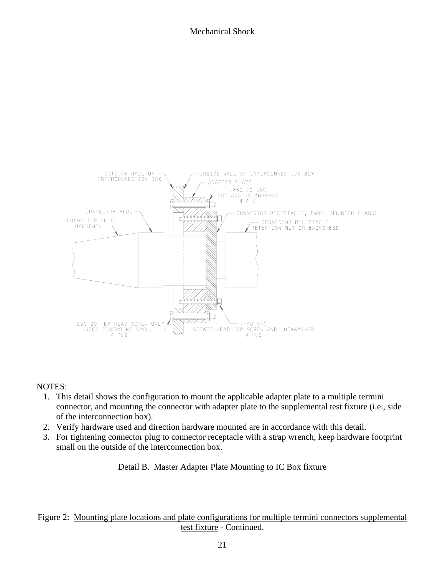

## NOTES:

- 1. This detail shows the configuration to mount the applicable adapter plate to a multiple termini connector, and mounting the connector with adapter plate to the supplemental test fixture (i.e., side of the interconnection box).
- 2. Verify hardware used and direction hardware mounted are in accordance with this detail.
- 3. For tightening connector plug to connector receptacle with a strap wrench, keep hardware footprint small on the outside of the interconnection box.

Detail B. Master Adapter Plate Mounting to IC Box fixture

## Figure 2: Mounting plate locations and plate configurations for multiple termini connectors supplemental test fixture - Continued.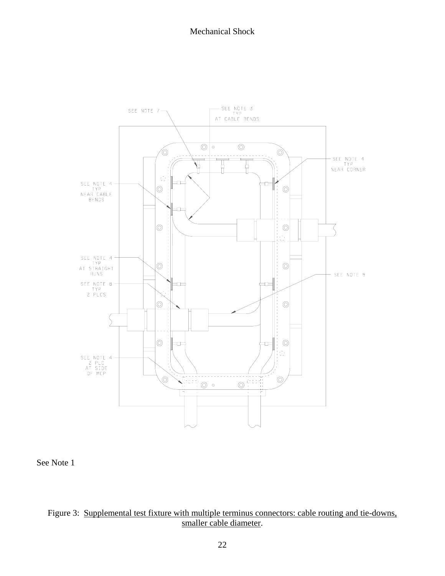

See Note 1

# Figure 3: Supplemental test fixture with multiple terminus connectors: cable routing and tie-downs, smaller cable diameter.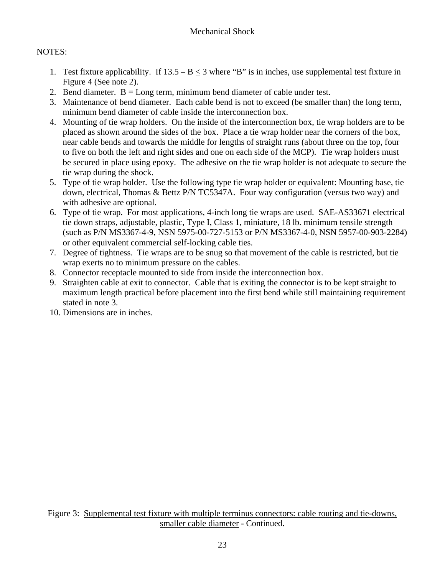# NOTES:

- 1. Test fixture applicability. If  $13.5 B < 3$  where "B" is in inches, use supplemental test fixture in Figure 4 (See note 2).
- 2. Bend diameter.  $B = Long$  term, minimum bend diameter of cable under test.
- 3. Maintenance of bend diameter. Each cable bend is not to exceed (be smaller than) the long term, minimum bend diameter of cable inside the interconnection box.
- 4. Mounting of tie wrap holders. On the inside of the interconnection box, tie wrap holders are to be placed as shown around the sides of the box. Place a tie wrap holder near the corners of the box, near cable bends and towards the middle for lengths of straight runs (about three on the top, four to five on both the left and right sides and one on each side of the MCP). Tie wrap holders must be secured in place using epoxy. The adhesive on the tie wrap holder is not adequate to secure the tie wrap during the shock.
- 5. Type of tie wrap holder. Use the following type tie wrap holder or equivalent: Mounting base, tie down, electrical, Thomas & Bettz P/N TC5347A. Four way configuration (versus two way) and with adhesive are optional.
- 6. Type of tie wrap. For most applications, 4-inch long tie wraps are used. SAE-AS33671 electrical tie down straps, adjustable, plastic, Type I, Class 1, miniature, 18 lb. minimum tensile strength (such as P/N MS3367-4-9, NSN 5975-00-727-5153 or P/N MS3367-4-0, NSN 5957-00-903-2284) or other equivalent commercial self-locking cable ties.
- 7. Degree of tightness. Tie wraps are to be snug so that movement of the cable is restricted, but tie wrap exerts no to minimum pressure on the cables.
- 8. Connector receptacle mounted to side from inside the interconnection box.
- 9. Straighten cable at exit to connector. Cable that is exiting the connector is to be kept straight to maximum length practical before placement into the first bend while still maintaining requirement stated in note 3.
- 10. Dimensions are in inches.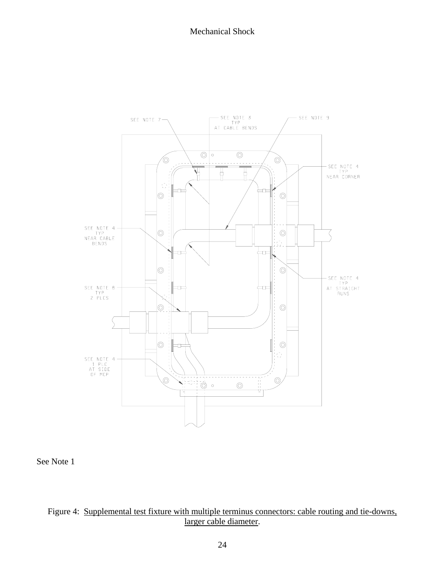

See Note 1

# Figure 4: Supplemental test fixture with multiple terminus connectors: cable routing and tie-downs, larger cable diameter.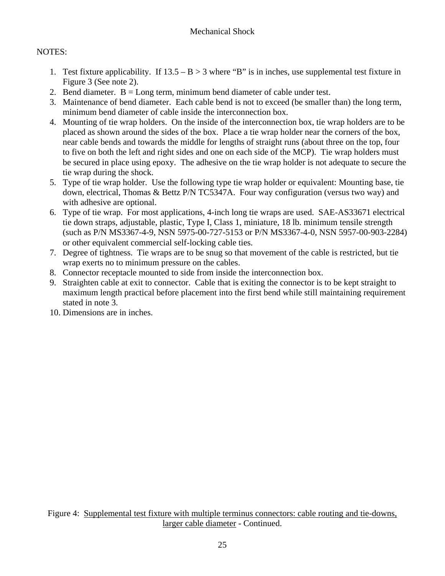# NOTES:

- 1. Test fixture applicability. If  $13.5 B > 3$  where "B" is in inches, use supplemental test fixture in Figure 3 (See note 2).
- 2. Bend diameter.  $B = Long$  term, minimum bend diameter of cable under test.
- 3. Maintenance of bend diameter. Each cable bend is not to exceed (be smaller than) the long term, minimum bend diameter of cable inside the interconnection box.
- 4. Mounting of tie wrap holders. On the inside of the interconnection box, tie wrap holders are to be placed as shown around the sides of the box. Place a tie wrap holder near the corners of the box, near cable bends and towards the middle for lengths of straight runs (about three on the top, four to five on both the left and right sides and one on each side of the MCP). Tie wrap holders must be secured in place using epoxy. The adhesive on the tie wrap holder is not adequate to secure the tie wrap during the shock.
- 5. Type of tie wrap holder. Use the following type tie wrap holder or equivalent: Mounting base, tie down, electrical, Thomas & Bettz P/N TC5347A. Four way configuration (versus two way) and with adhesive are optional.
- 6. Type of tie wrap. For most applications, 4-inch long tie wraps are used. SAE-AS33671 electrical tie down straps, adjustable, plastic, Type I, Class 1, miniature, 18 lb. minimum tensile strength (such as P/N MS3367-4-9, NSN 5975-00-727-5153 or P/N MS3367-4-0, NSN 5957-00-903-2284) or other equivalent commercial self-locking cable ties.
- 7. Degree of tightness. Tie wraps are to be snug so that movement of the cable is restricted, but tie wrap exerts no to minimum pressure on the cables.
- 8. Connector receptacle mounted to side from inside the interconnection box.
- 9. Straighten cable at exit to connector. Cable that is exiting the connector is to be kept straight to maximum length practical before placement into the first bend while still maintaining requirement stated in note 3.
- 10. Dimensions are in inches.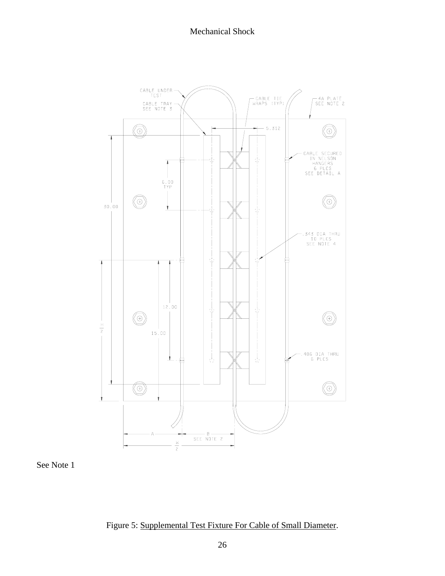

See Note 1

Figure 5: Supplemental Test Fixture For Cable of Small Diameter.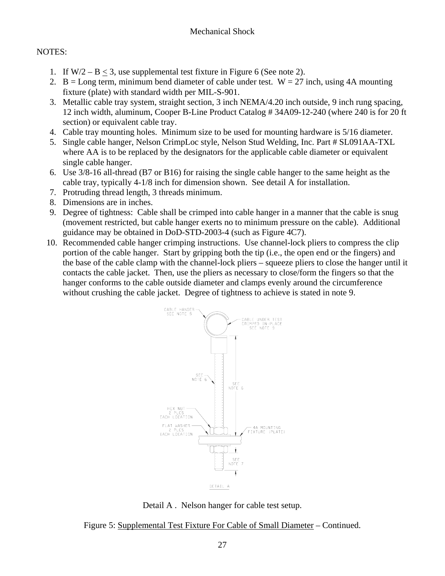## NOTES:

- 1. If  $W/2 B < 3$ , use supplemental test fixture in Figure 6 (See note 2).
- 2. B = Long term, minimum bend diameter of cable under test.  $W = 27$  inch, using 4A mounting fixture (plate) with standard width per MIL-S-901.
- 3. Metallic cable tray system, straight section, 3 inch NEMA/4.20 inch outside, 9 inch rung spacing, 12 inch width, aluminum, Cooper B-Line Product Catalog # 34A09-12-240 (where 240 is for 20 ft section) or equivalent cable tray.
- 4. Cable tray mounting holes. Minimum size to be used for mounting hardware is 5/16 diameter.
- 5. Single cable hanger, Nelson CrimpLoc style, Nelson Stud Welding, Inc. Part # SL091AA-TXL where AA is to be replaced by the designators for the applicable cable diameter or equivalent single cable hanger.
- 6. Use 3/8-16 all-thread (B7 or B16) for raising the single cable hanger to the same height as the cable tray, typically 4-1/8 inch for dimension shown. See detail A for installation.
- 7. Protruding thread length, 3 threads minimum.
- 8. Dimensions are in inches.
- 9. Degree of tightness: Cable shall be crimped into cable hanger in a manner that the cable is snug (movement restricted, but cable hanger exerts no to minimum pressure on the cable). Additional guidance may be obtained in DoD-STD-2003-4 (such as Figure 4C7).
- 10. Recommended cable hanger crimping instructions. Use channel-lock pliers to compress the clip portion of the cable hanger. Start by gripping both the tip (i.e., the open end or the fingers) and the base of the cable clamp with the channel-lock pliers – squeeze pliers to close the hanger until it contacts the cable jacket. Then, use the pliers as necessary to close/form the fingers so that the hanger conforms to the cable outside diameter and clamps evenly around the circumference without crushing the cable jacket. Degree of tightness to achieve is stated in note 9.



Detail A . Nelson hanger for cable test setup.

Figure 5: Supplemental Test Fixture For Cable of Small Diameter – Continued.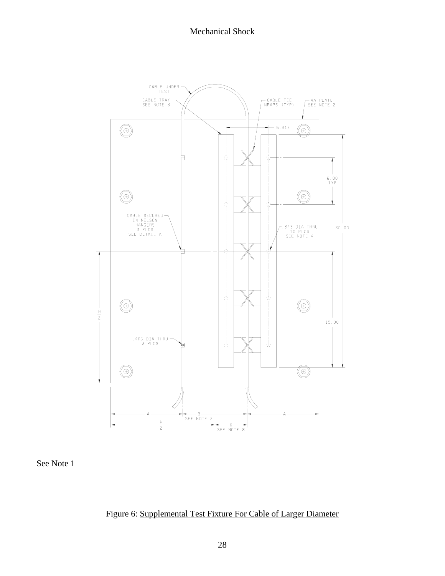Mechanical Shock



See Note 1

Figure 6: Supplemental Test Fixture For Cable of Larger Diameter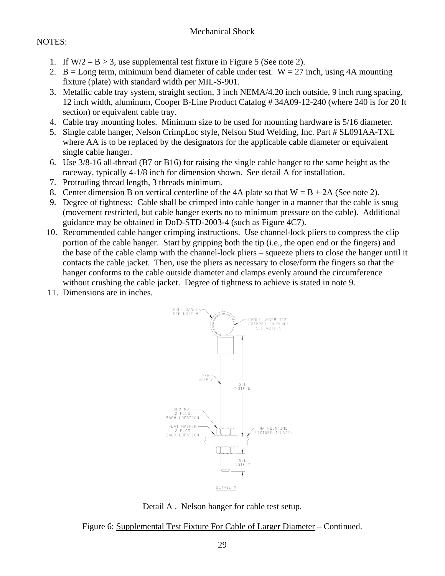# NOTES:

- 1. If  $W/2 B > 3$ , use supplemental test fixture in Figure 5 (See note 2).
- 2. B = Long term, minimum bend diameter of cable under test.  $W = 27$  inch, using 4A mounting fixture (plate) with standard width per MIL-S-901.
- 3. Metallic cable tray system, straight section, 3 inch NEMA/4.20 inch outside, 9 inch rung spacing, 12 inch width, aluminum, Cooper B-Line Product Catalog # 34A09-12-240 (where 240 is for 20 ft section) or equivalent cable tray.
- 4. Cable tray mounting holes. Minimum size to be used for mounting hardware is 5/16 diameter.
- 5. Single cable hanger, Nelson CrimpLoc style, Nelson Stud Welding, Inc. Part # SL091AA-TXL where AA is to be replaced by the designators for the applicable cable diameter or equivalent single cable hanger.
- 6. Use 3/8-16 all-thread (B7 or B16) for raising the single cable hanger to the same height as the raceway, typically 4-1/8 inch for dimension shown. See detail A for installation.
- 7. Protruding thread length, 3 threads minimum.
- 8. Center dimension B on vertical centerline of the 4A plate so that  $W = B + 2A$  (See note 2).
- 9. Degree of tightness: Cable shall be crimped into cable hanger in a manner that the cable is snug (movement restricted, but cable hanger exerts no to minimum pressure on the cable). Additional guidance may be obtained in DoD-STD-2003-4 (such as Figure 4C7).
- 10. Recommended cable hanger crimping instructions. Use channel-lock pliers to compress the clip portion of the cable hanger. Start by gripping both the tip (i.e., the open end or the fingers) and the base of the cable clamp with the channel-lock pliers – squeeze pliers to close the hanger until it contacts the cable jacket. Then, use the pliers as necessary to close/form the fingers so that the hanger conforms to the cable outside diameter and clamps evenly around the circumference without crushing the cable jacket. Degree of tightness to achieve is stated in note 9.
- 11. Dimensions are in inches.



Detail A . Nelson hanger for cable test setup.

Figure 6: Supplemental Test Fixture For Cable of Larger Diameter – Continued.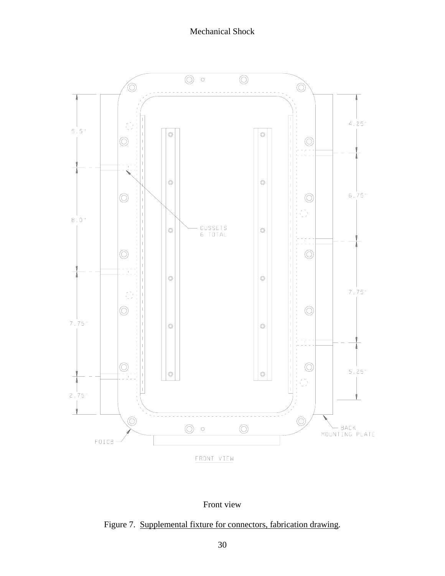



Figure 7. Supplemental fixture for connectors, fabrication drawing.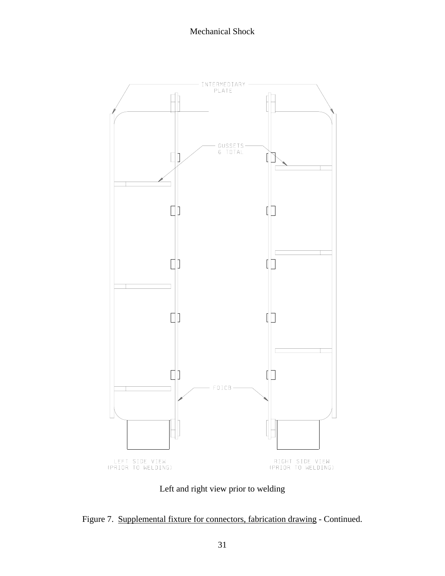

Left and right view prior to welding

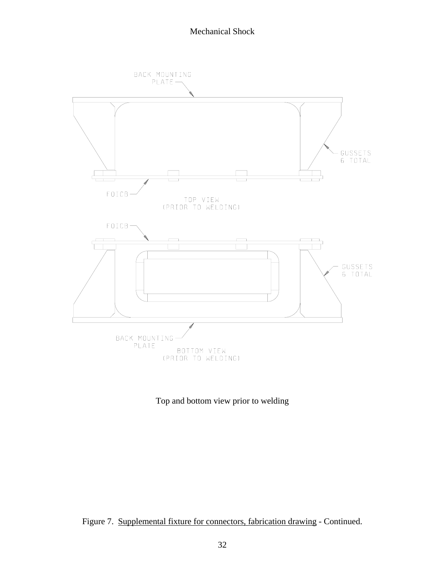

Top and bottom view prior to welding

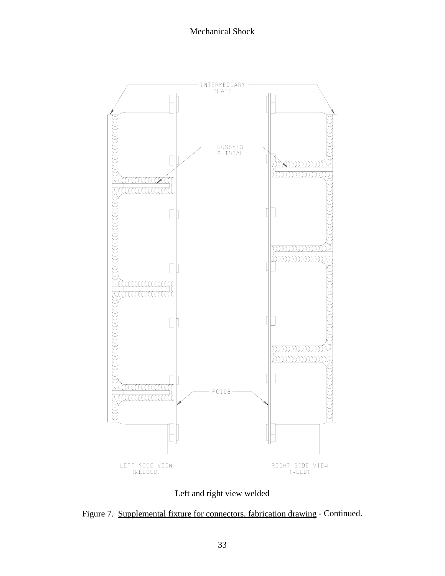

Left and right view welded

Figure 7. Supplemental fixture for connectors, fabrication drawing - Continued.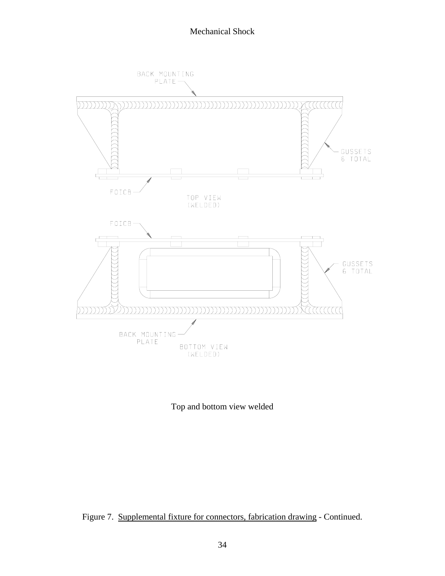

Top and bottom view welded

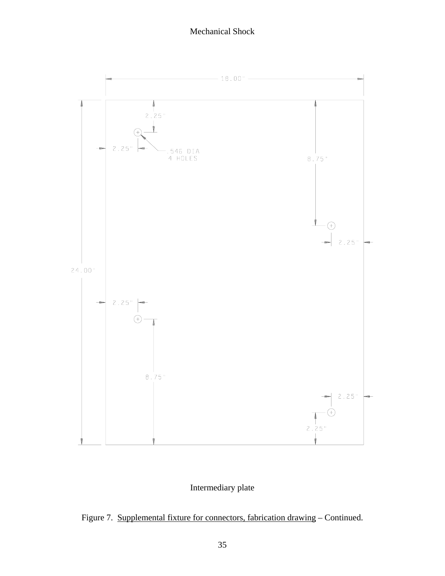

# Intermediary plate

Figure 7. Supplemental fixture for connectors, fabrication drawing – Continued.